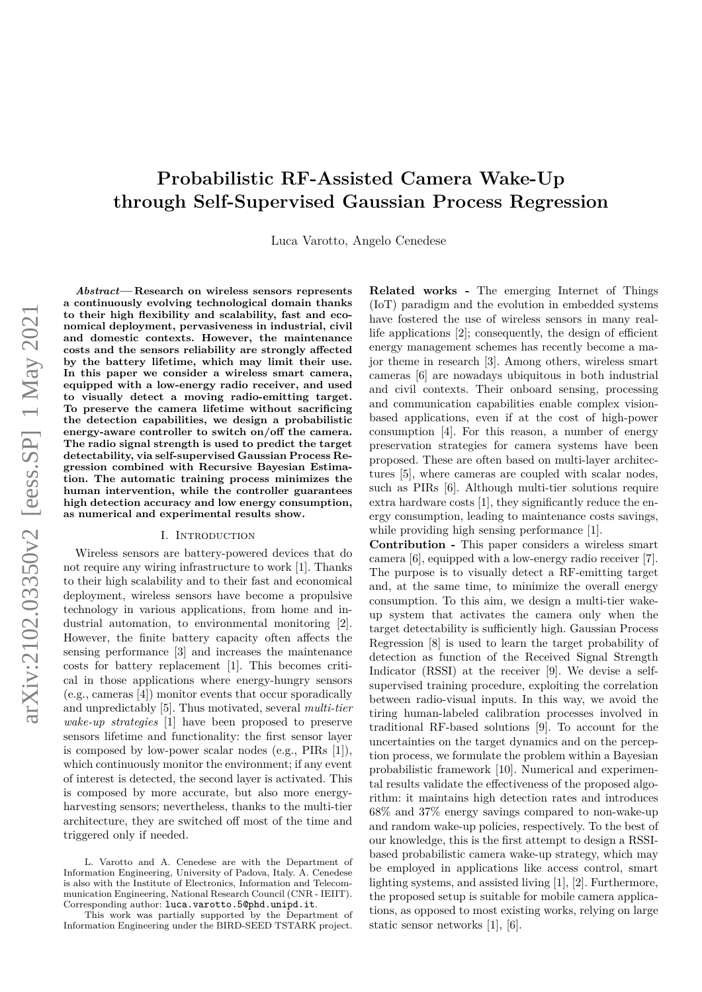# arXiv:2102.03350v2 [eess.SP] 1 May 2021 arXiv:2102.03350v2 [eess.SP] 1 May 2021

# **Probabilistic RF-Assisted Camera Wake-Up through Self-Supervised Gaussian Process Regression**

Luca Varotto, Angelo Cenedese

*Abstract***— Research on wireless sensors represents a continuously evolving technological domain thanks to their high flexibility and scalability, fast and economical deployment, pervasiveness in industrial, civil and domestic contexts. However, the maintenance costs and the sensors reliability are strongly affected by the battery lifetime, which may limit their use. In this paper we consider a wireless smart camera, equipped with a low-energy radio receiver, and used to visually detect a moving radio-emitting target. To preserve the camera lifetime without sacrificing the detection capabilities, we design a probabilistic energy-aware controller to switch on/off the camera. The radio signal strength is used to predict the target detectability, via self-supervised Gaussian Process Regression combined with Recursive Bayesian Estimation. The automatic training process minimizes the human intervention, while the controller guarantees high detection accuracy and low energy consumption, as numerical and experimental results show.**

# I. INTRODUCTION

Wireless sensors are battery-powered devices that do not require any wiring infrastructure to work [1]. Thanks to their high scalability and to their fast and economical deployment, wireless sensors have become a propulsive technology in various applications, from home and industrial automation, to environmental monitoring [2]. However, the finite battery capacity often affects the sensing performance [3] and increases the maintenance costs for battery replacement [1]. This becomes critical in those applications where energy-hungry sensors (e.g., cameras [4]) monitor events that occur sporadically and unpredictably [5]. Thus motivated, several *multi-tier wake-up strategies* [1] have been proposed to preserve sensors lifetime and functionality: the first sensor layer is composed by low-power scalar nodes (e.g., PIRs [1]), which continuously monitor the environment; if any event of interest is detected, the second layer is activated. This is composed by more accurate, but also more energyharvesting sensors; nevertheless, thanks to the multi-tier architecture, they are switched off most of the time and triggered only if needed.

This work was partially supported by the Department of Information Engineering under the BIRD-SEED TSTARK project.

**Related works -** The emerging Internet of Things (IoT) paradigm and the evolution in embedded systems have fostered the use of wireless sensors in many reallife applications [2]; consequently, the design of efficient energy management schemes has recently become a major theme in research [3]. Among others, wireless smart cameras [6] are nowadays ubiquitous in both industrial and civil contexts. Their onboard sensing, processing and communication capabilities enable complex visionbased applications, even if at the cost of high-power consumption [4]. For this reason, a number of energy preservation strategies for camera systems have been proposed. These are often based on multi-layer architectures [5], where cameras are coupled with scalar nodes, such as PIRs [6]. Although multi-tier solutions require extra hardware costs [1], they significantly reduce the energy consumption, leading to maintenance costs savings, while providing high sensing performance [1].

**Contribution -** This paper considers a wireless smart camera [6], equipped with a low-energy radio receiver [7]. The purpose is to visually detect a RF-emitting target and, at the same time, to minimize the overall energy consumption. To this aim, we design a multi-tier wakeup system that activates the camera only when the target detectability is sufficiently high. Gaussian Process Regression [8] is used to learn the target probability of detection as function of the Received Signal Strength Indicator (RSSI) at the receiver [9]. We devise a selfsupervised training procedure, exploiting the correlation between radio-visual inputs. In this way, we avoid the tiring human-labeled calibration processes involved in traditional RF-based solutions [9]. To account for the uncertainties on the target dynamics and on the perception process, we formulate the problem within a Bayesian probabilistic framework [10]. Numerical and experimental results validate the effectiveness of the proposed algorithm: it maintains high detection rates and introduces 68% and 37% energy savings compared to non-wake-up and random wake-up policies, respectively. To the best of our knowledge, this is the first attempt to design a RSSIbased probabilistic camera wake-up strategy, which may be employed in applications like access control, smart lighting systems, and assisted living [1], [2]. Furthermore, the proposed setup is suitable for mobile camera applications, as opposed to most existing works, relying on large static sensor networks [1], [6].

L. Varotto and A. Cenedese are with the Department of Information Engineering, University of Padova, Italy. A. Cenedese is also with the Institute of Electronics, Information and Telecommunication Engineering, National Research Council (CNR - IEIIT). Corresponding author: luca.varotto.5@phd.unipd.it.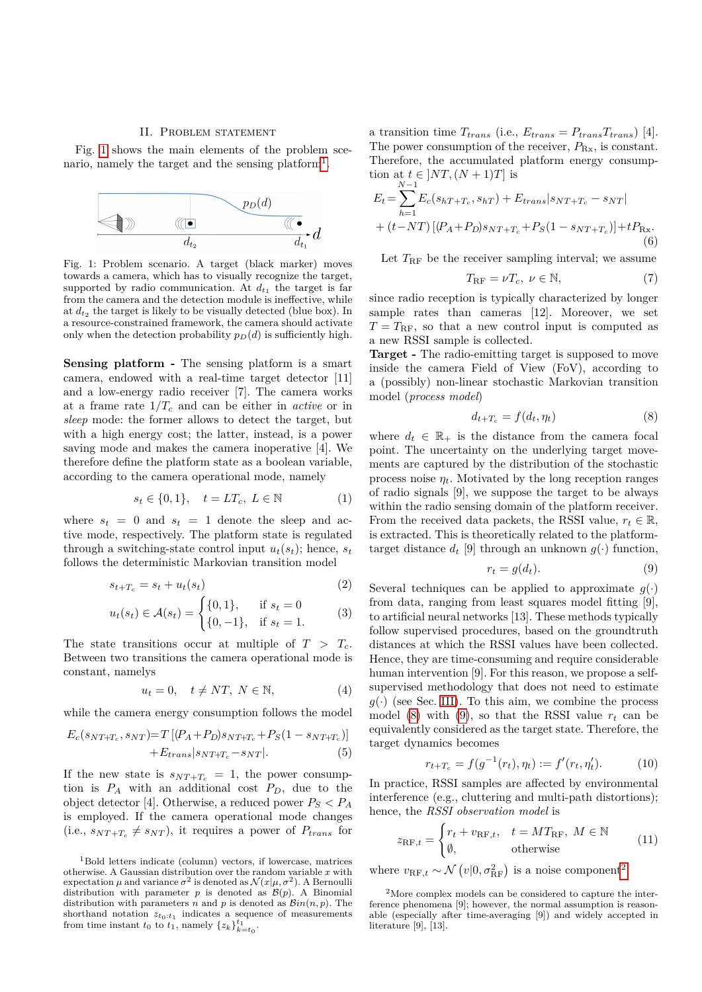#### II. PROBLEM STATEMENT

<span id="page-1-5"></span>Fig. [1](#page-1-0) shows the main elements of the problem sce-nario, namely the target and the sensing platform<sup>[1](#page-1-1)</sup>.

<span id="page-1-0"></span>

Fig. 1: Problem scenario. A target (black marker) moves towards a camera, which has to visually recognize the target, supported by radio communication. At  $d_{t_1}$  the target is far from the camera and the detection module is ineffective, while at  $d_{t_2}$  the target is likely to be visually detected (blue box). In a resource-constrained framework, the camera should activate only when the detection probability  $p_D(d)$  is sufficiently high.

**Sensing platform -** The sensing platform is a smart camera, endowed with a real-time target detector [11] and a low-energy radio receiver [7]. The camera works at a frame rate  $1/T_c$  and can be either in *active* or in *sleep* mode: the former allows to detect the target, but with a high energy cost; the latter, instead, is a power saving mode and makes the camera inoperative [4]. We therefore define the platform state as a boolean variable, according to the camera operational mode, namely

$$
s_t \in \{0, 1\}, \quad t = LT_c, \ L \in \mathbb{N}
$$
 (1)

where  $s_t = 0$  and  $s_t = 1$  denote the sleep and active mode, respectively. The platform state is regulated through a switching-state control input  $u_t(s_t)$ ; hence,  $s_t$ follows the deterministic Markovian transition model

$$
s_{t+T_c} = s_t + u_t(s_t) \tag{2}
$$

$$
u_t(s_t) \in \mathcal{A}(s_t) = \begin{cases} \{0, 1\}, & \text{if } s_t = 0\\ \{0, -1\}, & \text{if } s_t = 1. \end{cases}
$$
 (3)

The state transitions occur at multiple of  $T > T_c$ . Between two transitions the camera operational mode is constant, namelys

<span id="page-1-9"></span>
$$
u_t = 0, \quad t \neq NT, \ N \in \mathbb{N}, \tag{4}
$$

while the camera energy consumption follows the model

$$
E_c(s_{NT+T_c}, s_{NT}) = T [(P_A + P_D)s_{NT+T_c} + P_S(1 - s_{NT+T_c})]
$$
  
+ 
$$
E_{trans}|s_{NT+T_c} - s_{NT}|.
$$
 (5)

If the new state is  $s_{NT+T_c} = 1$ , the power consumption is  $P_A$  with an additional cost  $P_D$ , due to the object detector [4]. Otherwise, a reduced power  $P_S < P_A$ is employed. If the camera operational mode changes  $(i.e., s_{NT+T_c} \neq s_{NT})$ , it requires a power of  $P_{trans}$  for

a transition time  $T_{trans}$  (i.e.,  $E_{trans} = P_{trans}T_{trans}$ ) [4]. The power consumption of the receiver,  $P_{\text{Rx}}$ , is constant. Therefore, the accumulated platform energy consumption at  $t \in ]NT, (N + 1)T]$  is

$$
E_{t} = \sum_{h=1}^{N-1} E_{c}(s_{hT+T_{c}}, s_{hT}) + E_{trans}|s_{NT+T_{c}} - s_{NT}|
$$
  
+  $(t - NT) [(P_{A} + P_{D})s_{NT+T_{c}} + P_{S}(1 - s_{NT+T_{c}})] + tP_{Rx}.$   
(6)

Let  $T_{\rm RF}$  be the receiver sampling interval; we assume

<span id="page-1-12"></span><span id="page-1-6"></span>
$$
T_{\rm RF} = \nu T_c, \ \nu \in \mathbb{N},\tag{7}
$$

since radio reception is typically characterized by longer sample rates than cameras [12]. Moreover, we set  $T = T_{\rm RF}$ , so that a new control input is computed as a new RSSI sample is collected.

**Target -** The radio-emitting target is supposed to move inside the camera Field of View (FoV), according to a (possibly) non-linear stochastic Markovian transition model (*process model*)

<span id="page-1-2"></span>
$$
d_{t+T_c} = f(d_t, \eta_t) \tag{8}
$$

where  $d_t \in \mathbb{R}_+$  is the distance from the camera focal point. The uncertainty on the underlying target movements are captured by the distribution of the stochastic process noise  $\eta_t$ . Motivated by the long reception ranges of radio signals [9], we suppose the target to be always within the radio sensing domain of the platform receiver. From the received data packets, the RSSI value,  $r_t \in \mathbb{R}$ , is extracted. This is theoretically related to the platformtarget distance  $d_t$  [9] through an unknown  $q(\cdot)$  function,

<span id="page-1-3"></span>
$$
r_t = g(d_t). \tag{9}
$$

<span id="page-1-10"></span>Several techniques can be applied to approximate  $g(.)$ from data, ranging from least squares model fitting [9], to artificial neural networks [13]. These methods typically follow supervised procedures, based on the groundtruth distances at which the RSSI values have been collected. Hence, they are time-consuming and require considerable human intervention [9]. For this reason, we propose a selfsupervised methodology that does not need to estimate  $g(\cdot)$  (see Sec. [III\)](#page-2-0). To this aim, we combine the process model [\(8\)](#page-1-2) with [\(9\)](#page-1-3), so that the RSSI value  $r_t$  can be equivalently considered as the target state. Therefore, the target dynamics becomes

<span id="page-1-7"></span>
$$
r_{t+T_c} = f(g^{-1}(r_t), \eta_t) := f'(r_t, \eta'_t). \tag{10}
$$

<span id="page-1-11"></span>In practice, RSSI samples are affected by environmental interference (e.g., cluttering and multi-path distortions); hence, the *RSSI observation model* is

<span id="page-1-8"></span>
$$
z_{\text{RF},t} = \begin{cases} r_t + v_{\text{RF},t}, & t = MT_{\text{RF}}, M \in \mathbb{N} \\ \emptyset, & \text{otherwise} \end{cases}
$$
(11)

where  $v_{\text{RF},t} \sim \mathcal{N}(v|0,\sigma_{\text{RF}}^2)$  $v_{\text{RF},t} \sim \mathcal{N}(v|0,\sigma_{\text{RF}}^2)$  $v_{\text{RF},t} \sim \mathcal{N}(v|0,\sigma_{\text{RF}}^2)$  is a noise component<sup>2</sup>.

<span id="page-1-1"></span><sup>1</sup>Bold letters indicate (column) vectors, if lowercase, matrices otherwise. A Gaussian distribution over the random variable *x* with expectation  $\mu$  and variance  $\sigma^2$  is denoted as  $\mathcal{N}(x|\mu, \sigma^2)$ . A Bernoulli distribution with parameter *p* is denoted as  $B(p)$ . A Binomial distribution with parameters *n* and *p* is denoted as  $\mathcal{B}in(n, p)$ . The shorthand notation  $z_{t_0:t_1}$  indicates a sequence of measurements from time instant  $t_0$  to  $t_1$ , namely  $\{z_k\}_{k=t_0}^{t_1}$ .

<span id="page-1-4"></span><sup>&</sup>lt;sup>2</sup>More complex models can be considered to capture the interference phenomena [9]; however, the normal assumption is reasonable (especially after time-averaging [9]) and widely accepted in literature [9], [13].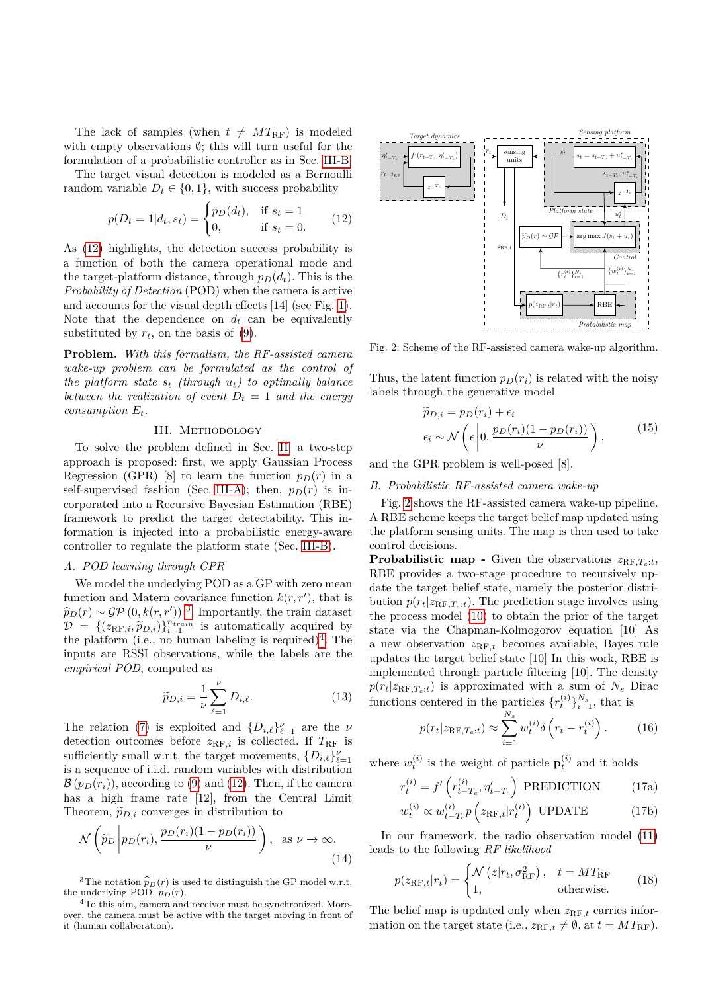The lack of samples (when  $t \neq MT_{\text{RF}}$ ) is modeled with empty observations  $\emptyset$ ; this will turn useful for the formulation of a probabilistic controller as in Sec. [III-B.](#page-2-1)

The target visual detection is modeled as a Bernoulli random variable  $D_t \in \{0, 1\}$ , with success probability

<span id="page-2-2"></span>
$$
p(D_t = 1 | d_t, s_t) = \begin{cases} p_D(d_t), & \text{if } s_t = 1 \\ 0, & \text{if } s_t = 0. \end{cases}
$$
 (12)

As [\(12\)](#page-2-2) highlights, the detection success probability is a function of both the camera operational mode and the target-platform distance, through  $p_D(d_t)$ . This is the *Probability of Detection* (POD) when the camera is active and accounts for the visual depth effects [14] (see Fig. [1\)](#page-1-0). Note that the dependence on  $d_t$  can be equivalently substituted by  $r_t$ , on the basis of  $(9)$ .

**Problem.** *With this formalism, the RF-assisted camera wake-up problem can be formulated as the control of the platform state*  $s_t$  *(through*  $u_t$ *)* to optimally balance *between the realization of event*  $D_t = 1$  *and the energy consumption Et.*

# III. Methodology

<span id="page-2-0"></span>To solve the problem defined in Sec. [II,](#page-1-5) a two-step approach is proposed: first, we apply Gaussian Process Regression (GPR) [8] to learn the function  $p_D(r)$  in a self-supervised fashion (Sec. [III-A\)](#page-2-3); then,  $p_D(r)$  is incorporated into a Recursive Bayesian Estimation (RBE) framework to predict the target detectability. This information is injected into a probabilistic energy-aware controller to regulate the platform state (Sec. [III-B\)](#page-2-1).

#### <span id="page-2-3"></span>*A. POD learning through GPR*

We model the underlying POD as a GP with zero mean function and Matern covariance function  $k(r, r')$ , that is  $\hat{p}_D(r) \sim \mathcal{GP}(0, k(r, r'))$ <sup>[3](#page-2-4)</sup>. Importantly, the train dataset  $\mathcal{D} = \{(x_D, \hat{x}_D, \hat{v})\}_{n=1}^{n_{train}}$  is automatically acquired by  $\mathcal{D} = \{ (z_{\text{RF},i}, \widetilde{p}_{D,i}) \}_{i=1}^{n_{train}}$  is automatically acquired by the platform  $(i \text{ e.})$  is non-planeling is required  $(i \text{ e.})$ the platform (i.e., no human labeling is required)<sup>[4](#page-2-5)</sup>. The inputs are RSSI observations, while the labels are the *empirical POD*, computed as

$$
\widetilde{p}_{D,i} = \frac{1}{\nu} \sum_{\ell=1}^{\nu} D_{i,\ell}.
$$
\n(13)

The relation [\(7\)](#page-1-6) is exploited and  $\{D_{i,\ell}\}_{\ell=1}^{\nu}$  are the *ν* detection outcomes before  $z_{RF,i}$  is collected. If  $T_{RF}$  is sufficiently small w.r.t. the target movements,  $\{D_{i,\ell}\}_{\ell=1}^{\nu}$ is a sequence of i.i.d. random variables with distribution  $\mathcal{B}(p_D(r_i))$ , according to [\(9\)](#page-1-3) and [\(12\)](#page-2-2). Then, if the camera has a high frame rate [12], from the Central Limit Theorem,  $\tilde{p}_{D,i}$  converges in distribution to

<span id="page-2-7"></span>
$$
\mathcal{N}\left(\widetilde{p}_D\left|p_D(r_i), \frac{p_D(r_i)(1 - p_D(r_i))}{\nu}\right.\right), \text{ as } \nu \to \infty.
$$
\n(14)

<span id="page-2-4"></span><sup>3</sup>The notation  $\hat{p}_D(r)$  is used to distinguish the GP model w.r.t. the underlying POD,  $p_D(r)$ .

<span id="page-2-5"></span><sup>4</sup>To this aim, camera and receiver must be synchronized. Moreover, the camera must be active with the target moving in front of it (human collaboration).

<span id="page-2-6"></span>

Fig. 2: Scheme of the RF-assisted camera wake-up algorithm.

Thus, the latent function  $p_D(r_i)$  is related with the noisy labels through the generative model

$$
\widetilde{p}_{D,i} = p_D(r_i) + \epsilon_i
$$
\n
$$
\epsilon_i \sim \mathcal{N}\left(\epsilon \left| 0, \frac{p_D(r_i)(1 - p_D(r_i))}{\nu}\right.\right),\tag{15}
$$

and the GPR problem is well-posed [8].

# <span id="page-2-1"></span>*B. Probabilistic RF-assisted camera wake-up*

Fig. [2](#page-2-6) shows the RF-assisted camera wake-up pipeline. A RBE scheme keeps the target belief map updated using the platform sensing units. The map is then used to take control decisions.

**Probabilistic map -** Given the observations  $z_{RF,T_c:t}$ , RBE provides a two-stage procedure to recursively update the target belief state, namely the posterior distribution  $p(r_t|z_{\text{RF},T_c:t})$ . The prediction stage involves using the process model [\(10\)](#page-1-7) to obtain the prior of the target state via the Chapman-Kolmogorov equation [10] As a new observation  $z_{RF,t}$  becomes available, Bayes rule updates the target belief state [10] In this work, RBE is implemented through particle filtering [10]. The density  $p(r_t|z_{\text{RF},T_c:t})$  is approximated with a sum of  $N_s$  Dirac functions centered in the particles  $\{r_t^{(i)}\}_{i=1}^{N_s}$ , that is

$$
p(r_t|z_{\text{RF},T_c:t}) \approx \sum_{i=1}^{N_s} w_t^{(i)} \delta(r_t - r_t^{(i)}).
$$
 (16)

where  $w_t^{(i)}$  is the weight of particle  $\mathbf{p}_t^{(i)}$  and it holds

$$
r_t^{(i)} = f' \left( r_{t-T_c}^{(i)}, \eta'_{t-T_c} \right) \text{ PREDICTION} \tag{17a}
$$

$$
w_t^{(i)} \propto w_{t-T_c}^{(i)} p\left(z_{\text{RF},t}|r_t^{(i)}\right) \text{ UPDATE} \tag{17b}
$$

In our framework, the radio observation model [\(11\)](#page-1-8) leads to the following *RF likelihood*

$$
p(z_{\rm RF,t}|r_t) = \begin{cases} \mathcal{N}\left(z|r_t, \sigma_{\rm RF}^2\right), & t = MT_{\rm RF} \\ 1, & \text{otherwise.} \end{cases}
$$
(18)

The belief map is updated only when  $z_{RF,t}$  carries information on the target state (i.e.,  $z_{\text{RF},t} \neq \emptyset$ , at  $t = MT_{\text{RF}}$ ).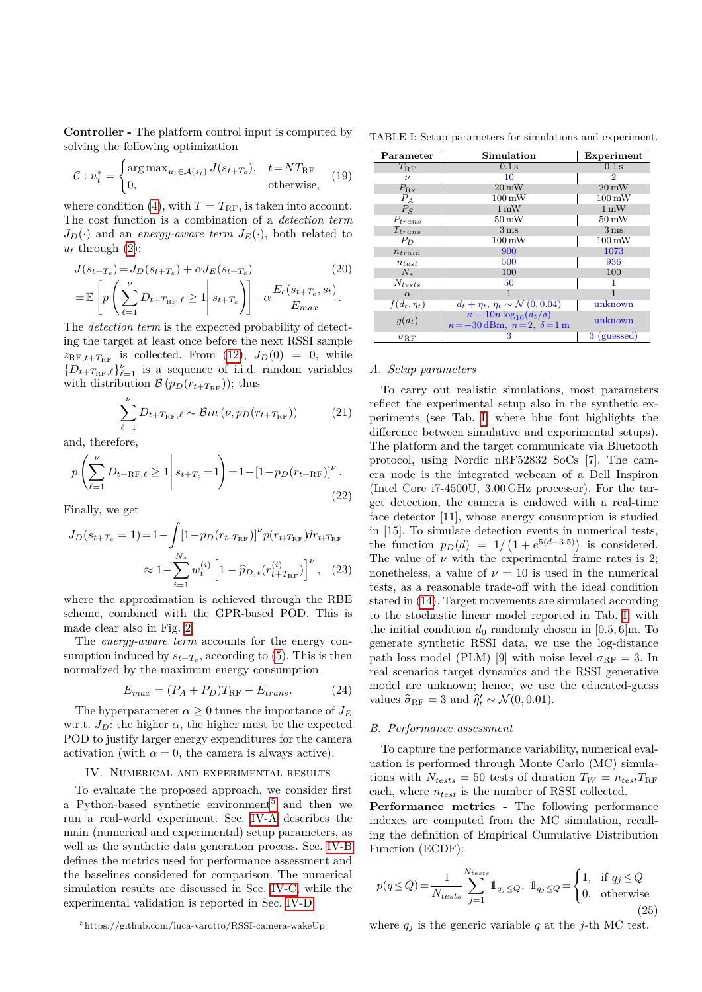**Controller -** The platform control input is computed by solving the following optimization

<span id="page-3-5"></span>
$$
\mathcal{C}: u_t^* = \begin{cases} \arg \max_{u_t \in \mathcal{A}(s_t)} J(s_{t+T_c}), & t = NT_{\text{RF}} \\ 0, & \text{otherwise,} \end{cases} \tag{19}
$$

where condition [\(4\)](#page-1-9), with  $T = T_{\text{RF}}$ , is taken into account. The cost function is a combination of a *detection term*  $J_D(\cdot)$  and an *energy-aware term*  $J_E(\cdot)$ , both related to  $u_t$  through  $(2)$ :

$$
J(s_{t+T_c}) = J_D(s_{t+T_c}) + \alpha J_E(s_{t+T_c})
$$
\n
$$
= \mathbb{E}\left[p\left(\sum_{\ell=1}^{\nu} D_{t+T_{\rm RF},\ell} \ge 1 \middle| s_{t+T_c}\right)\right] - \alpha \frac{E_c(s_{t+T_c}, s_t)}{E_{max}}.
$$
\n(20)

The *detection term* is the expected probability of detecting the target at least once before the next RSSI sample  $z_{\text{RF},t+T_{\text{RF}}}$  is collected. From [\(12\)](#page-2-2),  $J_D(0) = 0$ , while  ${D_{t+T_{RF},\ell}}^{\nu}_{\ell=1}$  is a sequence of i.i.d. random variables with distribution  $\mathcal{B}(p_D(r_{t+T_{\text{RF}}}))$ ; thus

$$
\sum_{\ell=1}^{\nu} D_{t+T_{\rm RF},\ell} \sim \mathcal{B}in\left(\nu, p_D(r_{t+T_{\rm RF}})\right) \tag{21}
$$

and, therefore,

$$
p\left(\sum_{\ell=1}^{\nu} D_{t+RF,\ell} \ge 1 \middle| s_{t+T_c} = 1\right) = 1 - \left[1 - p_D(r_{t+RF})\right]^{\nu}.
$$
\n(22)

Finally, we get

$$
J_D(s_{t+T_c} = 1) = 1 - \int [1 - p_D(r_{t+T_{\rm RF}})]^{\nu} p(r_{t+T_{\rm RF}}) dr_{t+T_{\rm RF}}
$$

$$
\approx 1 - \sum_{i=1}^{N_s} w_t^{(i)} \left[1 - \widehat{p}_{D,*}(r_{t+T_{\rm RF}}^{(i)})\right]^{\nu}, \quad (23)
$$

where the approximation is achieved through the RBE scheme, combined with the GPR-based POD. This is made clear also in Fig. [2.](#page-2-6)

The *energy-aware term* accounts for the energy consumption induced by  $s_{t+T_c}$ , according to [\(5\)](#page-1-11). This is then normalized by the maximum energy consumption

$$
E_{max} = (P_A + P_D)T_{\rm RF} + E_{trans}.
$$
 (24)

The hyperparameter  $\alpha \geq 0$  tunes the importance of  $J_E$ w.r.t.  $J_D$ : the higher  $\alpha$ , the higher must be the expected POD to justify larger energy expenditures for the camera activation (with  $\alpha = 0$ , the camera is always active).

#### IV. Numerical and experimental results

To evaluate the proposed approach, we consider first a Python-based synthetic environment<sup>[5](#page-3-0)</sup> and then we run a real-world experiment. Sec. [IV-A](#page-3-1) describes the main (numerical and experimental) setup parameters, as well as the synthetic data generation process. Sec. [IV-B](#page-3-2) defines the metrics used for performance assessment and the baselines considered for comparison. The numerical simulation results are discussed in Sec. [IV-C,](#page-4-0) while the experimental validation is reported in Sec. [IV-D.](#page-5-0)

<span id="page-3-3"></span>TABLE I: Setup parameters for simulations and experiment.

| Parameter          | Simulation                                                                         | Experiment          |
|--------------------|------------------------------------------------------------------------------------|---------------------|
| $T_{\rm RF}$       | $0.1$ s                                                                            | 0.1 s               |
| $\boldsymbol{\nu}$ | 10                                                                                 | 2                   |
| $P_{\rm{Rx}}$      | $20 \,\mathrm{mW}$                                                                 | $20 \,\mathrm{mW}$  |
| $P_A$              | $100 \,\mathrm{mW}$                                                                | $100 \,\mathrm{mW}$ |
| $P_S$              | $1 \,\mathrm{mW}$                                                                  | $1 \,\mathrm{mW}$   |
| $P_{trans}$        | $50\,\mathrm{mW}$                                                                  | $50\,\mathrm{mW}$   |
| $T_{trans}$        | $3 \,\mathrm{ms}$                                                                  | $3 \,\mathrm{ms}$   |
| $P_D$              | $100 \,\mathrm{mW}$                                                                | $100 \,\mathrm{mW}$ |
| $n_{train}$        | 900                                                                                | 1073                |
| $n_{test}$         | 500                                                                                | 936                 |
| $N_{\rm s}$        | 100                                                                                | 100                 |
| $N_{tests}$        | 50                                                                                 |                     |
| $\alpha$           |                                                                                    |                     |
| $f(d_t, \eta_t)$   | $d_t + \eta_t, \, \eta_t \sim \mathcal{N}(0, 0.04)$                                | unknown             |
| $g(d_t)$           | $\kappa - 10n \log_{10}(d_t/\delta)$<br>$\kappa = -30$ dBm, $n=2$ , $\delta = 1$ m | unknown             |
| $\sigma_{\rm RF}$  | 3                                                                                  | (guessed)<br>3.     |

# <span id="page-3-1"></span>*A. Setup parameters*

To carry out realistic simulations, most parameters reflect the experimental setup also in the synthetic experiments (see Tab. [I,](#page-3-3) where blue font highlights the difference between simulative and experimental setups). The platform and the target communicate via Bluetooth protocol, using Nordic nRF52832 SoCs [7]. The camera node is the integrated webcam of a Dell Inspiron (Intel Core i7-4500U, 3*.*00 GHz processor). For the target detection, the camera is endowed with a real-time face detector [11], whose energy consumption is studied in [15]. To simulate detection events in numerical tests, the function  $p_D(d) = 1/(1 + e^{5(d-3.5)})$  is considered. The value of  $\nu$  with the experimental frame rates is 2; nonetheless, a value of  $\nu = 10$  is used in the numerical tests, as a reasonable trade-off with the ideal condition stated in [\(14\)](#page-2-7). Target movements are simulated according to the stochastic linear model reported in Tab. [I,](#page-3-3) with the initial condition  $d_0$  randomly chosen in [0.5*,* 6]m. To generate synthetic RSSI data, we use the log-distance path loss model (PLM) [9] with noise level  $\sigma_{\rm RF} = 3$ . In real scenarios target dynamics and the RSSI generative model are unknown; hence, we use the educated-guess values  $\hat{\sigma}_{\text{RF}} = 3$  and  $\hat{\eta}'_t \sim \mathcal{N}(0, 0.01)$ .

# <span id="page-3-6"></span><span id="page-3-2"></span>*B. Performance assessment*

To capture the performance variability, numerical evaluation is performed through Monte Carlo (MC) simulations with  $N_{tests} = 50$  tests of duration  $T_W = n_{test}T_{RF}$ each, where *ntest* is the number of RSSI collected.

**Performance metrics -** The following performance indexes are computed from the MC simulation, recalling the definition of Empirical Cumulative Distribution Function (ECDF):

<span id="page-3-4"></span>
$$
p(q \le Q) = \frac{1}{N_{tests}} \sum_{j=1}^{N_{tests}} 1_{q_j \le Q}, \quad 1_{q_j \le Q} = \begin{cases} 1, & \text{if } q_j \le Q \\ 0, & \text{otherwise} \end{cases} \tag{25}
$$

where  $q_i$  is the generic variable  $q$  at the *j*-th MC test.

<span id="page-3-0"></span><sup>5</sup>https://github.com/luca-varotto/RSSI-camera-wakeUp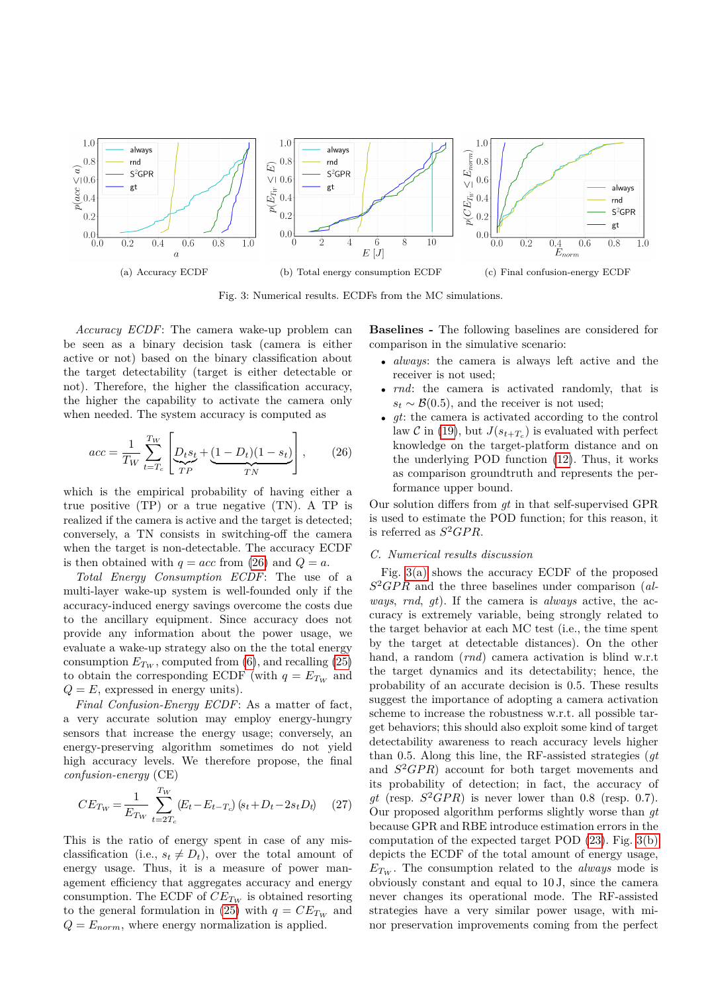<span id="page-4-2"></span>

<span id="page-4-3"></span>Fig. 3: Numerical results. ECDFs from the MC simulations.

*Accuracy ECDF*: The camera wake-up problem can be seen as a binary decision task (camera is either active or not) based on the binary classification about the target detectability (target is either detectable or not). Therefore, the higher the classification accuracy, the higher the capability to activate the camera only when needed. The system accuracy is computed as

<span id="page-4-1"></span>
$$
acc = \frac{1}{T_W} \sum_{t=T_c}^{T_W} \left[ \underbrace{D_t s_t}_{TP} + \underbrace{(1 - D_t)(1 - s_t)}_{TN} \right], \qquad (26)
$$

which is the empirical probability of having either a true positive  $(TP)$  or a true negative  $(TN)$ . A TP is realized if the camera is active and the target is detected; conversely, a TN consists in switching-off the camera when the target is non-detectable. The accuracy ECDF is then obtained with  $q = acc$  from [\(26\)](#page-4-1) and  $Q = a$ .

*Total Energy Consumption ECDF*: The use of a multi-layer wake-up system is well-founded only if the accuracy-induced energy savings overcome the costs due to the ancillary equipment. Since accuracy does not provide any information about the power usage, we evaluate a wake-up strategy also on the the total energy consumption  $E_{T_W}$ , computed from [\(6\)](#page-1-12), and recalling [\(25\)](#page-3-4) to obtain the corresponding ECDF (with  $q = E_{Tw}$  and  $Q = E$ , expressed in energy units).

*Final Confusion-Energy ECDF*: As a matter of fact, a very accurate solution may employ energy-hungry sensors that increase the energy usage; conversely, an energy-preserving algorithm sometimes do not yield high accuracy levels. We therefore propose, the final *confusion-energy* (CE)

$$
CE_{Tw} = \frac{1}{E_{Tw}} \sum_{t=2T_c}^{T_W} (E_t - E_{t-T_c}) (s_t + D_t - 2s_t D_t) \tag{27}
$$

This is the ratio of energy spent in case of any misclassification (i.e.,  $s_t \neq D_t$ ), over the total amount of energy usage. Thus, it is a measure of power management efficiency that aggregates accuracy and energy consumption. The ECDF of  $CE_{Tw}$  is obtained resorting to the general formulation in [\(25\)](#page-3-4) with  $q = CE_{Tw}$  and  $Q = E_{norm}$ , where energy normalization is applied.

<span id="page-4-4"></span>**Baselines -** The following baselines are considered for comparison in the simulative scenario:

- *always*: the camera is always left active and the receiver is not used;
- *rnd*: the camera is activated randomly, that is  $s_t \sim \mathcal{B}(0.5)$ , and the receiver is not used;
- *gt*: the camera is activated according to the control law  $\mathcal{C}$  in [\(19\)](#page-3-5), but  $J(s_{t+T_c})$  is evaluated with perfect knowledge on the target-platform distance and on the underlying POD function [\(12\)](#page-2-2). Thus, it works as comparison groundtruth and represents the performance upper bound.

Our solution differs from *gt* in that self-supervised GPR is used to estimate the POD function; for this reason, it is referred as  $S^2GPR$ .

### <span id="page-4-0"></span>*C. Numerical results discussion*

Fig. [3\(a\)](#page-4-2) shows the accuracy ECDF of the proposed *S* <sup>2</sup>*GP R* and the three baselines under comparison (*always*, *rnd*, *gt*). If the camera is *always* active, the accuracy is extremely variable, being strongly related to the target behavior at each MC test (i.e., the time spent by the target at detectable distances). On the other hand, a random (*rnd*) camera activation is blind w.r.t the target dynamics and its detectability; hence, the probability of an accurate decision is 0*.*5. These results suggest the importance of adopting a camera activation scheme to increase the robustness w.r.t. all possible target behaviors; this should also exploit some kind of target detectability awareness to reach accuracy levels higher than 0*.*5. Along this line, the RF-assisted strategies (*gt* and  $S^2GPR$ ) account for both target movements and its probability of detection; in fact, the accuracy of  $gt$  (resp.  $S^2GPR$ ) is never lower than 0.8 (resp. 0.7). Our proposed algorithm performs slightly worse than *gt* because GPR and RBE introduce estimation errors in the computation of the expected target POD [\(23\)](#page-3-6). Fig. [3\(b\)](#page-4-3) depicts the ECDF of the total amount of energy usage,  $E_{Tw}$ . The consumption related to the *always* mode is obviously constant and equal to 10 J, since the camera never changes its operational mode. The RF-assisted strategies have a very similar power usage, with minor preservation improvements coming from the perfect